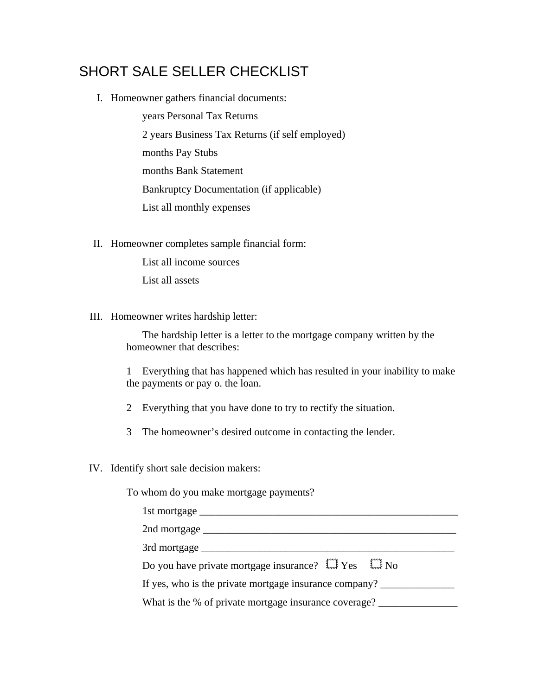## SHORT SALE SELLER CHECKLIST

I. Homeowner gathers financial documents:

years Personal Tax Returns 2 years Business Tax Returns (if self employed) months Pay Stubs months Bank Statement Bankruptcy Documentation (if applicable) List all monthly expenses

II. Homeowner completes sample financial form:

List all income sources List all assets

III. Homeowner writes hardship letter:

The hardship letter is a letter to the mortgage company written by the homeowner that describes:

1 Everything that has happened which has resulted in your inability to make the payments or pay o. the loan.

- 2 Everything that you have done to try to rectify the situation.
- 3 The homeowner's desired outcome in contacting the lender.
- IV. Identify short sale decision makers:

To whom do you make mortgage payments?

| Do you have private mortgage insurance? $\overrightarrow{L}$ Yes $\overrightarrow{L}$ No |
|------------------------------------------------------------------------------------------|
| If yes, who is the private mortgage insurance company?                                   |
| What is the % of private mortgage insurance coverage?                                    |